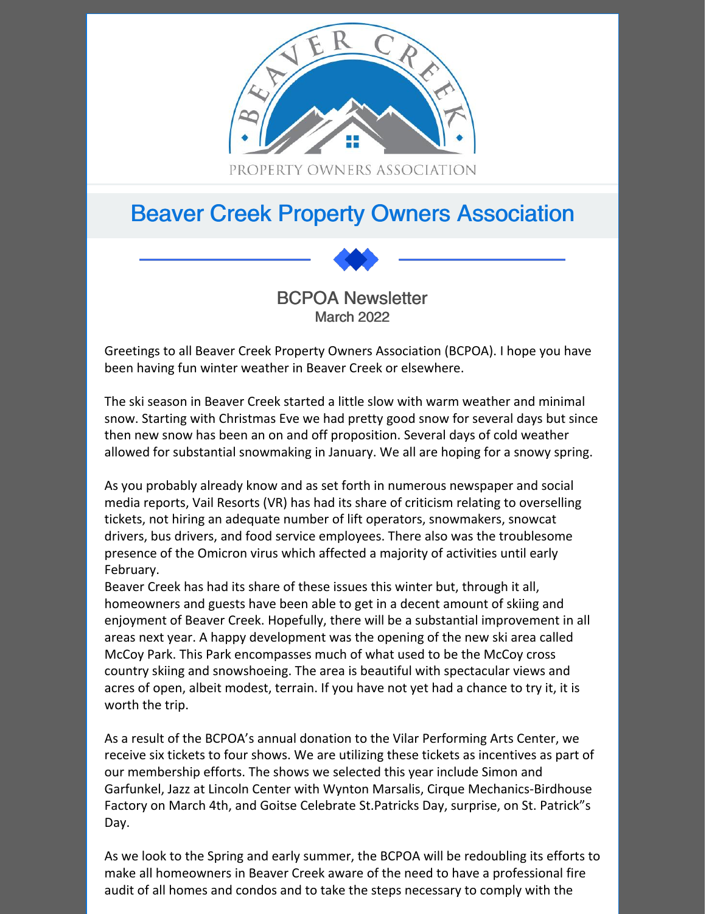

# Beaver Creek Property Owners Association



Greetings to all Beaver Creek Property Owners Association (BCPOA). I hope you have been having fun winter weather in Beaver Creek or elsewhere.

The ski season in Beaver Creek started a little slow with warm weather and minimal snow. Starting with Christmas Eve we had pretty good snow for several days but since then new snow has been an on and off proposition. Several days of cold weather allowed for substantial snowmaking in January. We all are hoping for a snowy spring.

As you probably already know and as set forth in numerous newspaper and social media reports, Vail Resorts (VR) has had its share of criticism relating to overselling tickets, not hiring an adequate number of lift operators, snowmakers, snowcat drivers, bus drivers, and food service employees. There also was the troublesome presence of the Omicron virus which affected a majority of activities until early February.

Beaver Creek has had its share of these issues this winter but, through it all, homeowners and guests have been able to get in a decent amount of skiing and enjoyment of Beaver Creek. Hopefully, there will be a substantial improvement in all areas next year. A happy development was the opening of the new ski area called McCoy Park. This Park encompasses much of what used to be the McCoy cross country skiing and snowshoeing. The area is beautiful with spectacular views and acres of open, albeit modest, terrain. If you have not yet had a chance to try it, it is worth the trip.

As a result of the BCPOA's annual donation to the Vilar Performing Arts Center, we receive six tickets to four shows. We are utilizing these tickets as incentives as part of our membership efforts. The shows we selected this year include Simon and Garfunkel, Jazz at Lincoln Center with Wynton Marsalis, Cirque Mechanics-Birdhouse Factory on March 4th, and Goitse Celebrate St.Patricks Day, surprise, on St. Patrick"s Day.

As we look to the Spring and early summer, the BCPOA will be redoubling its efforts to make all homeowners in Beaver Creek aware of the need to have a professional fire audit of all homes and condos and to take the steps necessary to comply with the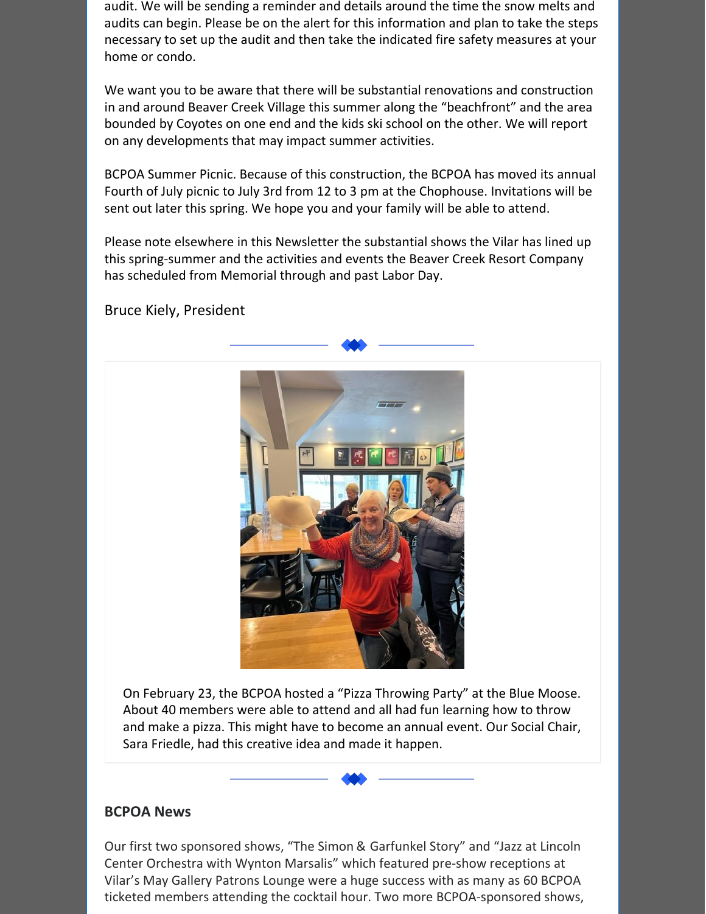audit. We will be sending a reminder and details around the time the snow melts and audits can begin. Please be on the alert for this information and plan to take the steps necessary to set up the audit and then take the indicated fire safety measures at your home or condo.

We want you to be aware that there will be substantial renovations and construction in and around Beaver Creek Village this summer along the "beachfront" and the area bounded by Coyotes on one end and the kids ski school on the other. We will report on any developments that may impact summer activities.

BCPOA Summer Picnic. Because of this construction, the BCPOA has moved its annual Fourth of July picnic to July 3rd from 12 to 3 pm at the Chophouse. Invitations will be sent out later this spring. We hope you and your family will be able to attend.

Please note elsewhere in this Newsletter the substantial shows the Vilar has lined up this spring-summer and the activities and events the Beaver Creek Resort Company has scheduled from Memorial through and past Labor Day.

Bruce Kiely, President



On February 23, the BCPOA hosted a "Pizza Throwing Party" at the Blue Moose. About 40 members were able to attend and all had fun learning how to throw and make a pizza. This might have to become an annual event. Our Social Chair, Sara Friedle, had this creative idea and made it happen.

## **BCPOA News**

Our first two sponsored shows, "The Simon & Garfunkel Story" and "Jazz at Lincoln Center Orchestra with Wynton Marsalis" which featured pre-show receptions at Vilar's May Gallery Patrons Lounge were a huge success with as many as 60 BCPOA ticketed members attending the cocktail hour. Two more BCPOA-sponsored shows,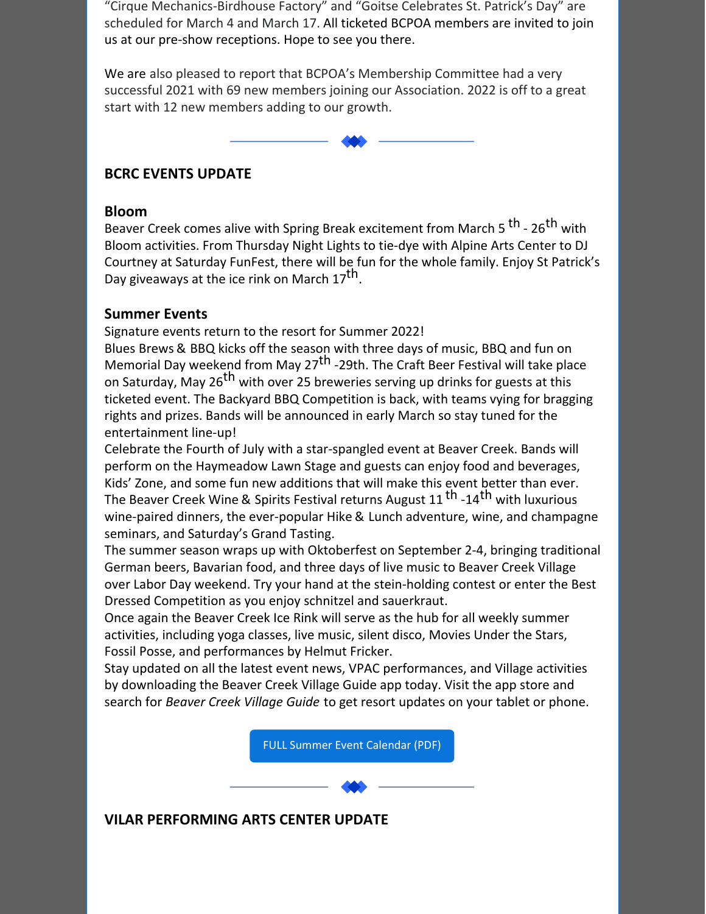"Cirque Mechanics-Birdhouse Factory" and "Goitse Celebrates St. Patrick's Day" are scheduled for March 4 and March 17. All ticketed BCPOA members are invited to join us at our pre-show receptions. Hope to see you there.

We are also pleased to report that BCPOA's Membership Committee had a very successful 2021 with 69 new members joining our Association. 2022 is off to a great start with 12 new members adding to our growth.

# **BCRC EVENTS UPDATE**

#### **Bloom**

Beaver Creek comes alive with Spring Break excitement from March 5 <sup>th</sup> - 26<sup>th</sup> with Bloom activities. From Thursday Night Lights to tie-dye with Alpine Arts Center to DJ Courtney at Saturday FunFest, there will be fun for the whole family. Enjoy St Patrick's Day giveaways at the ice rink on March  $17^{\text{th}}$ .

# **Summer Events**

Signature events return to the resort for Summer 2022!

Blues Brews & BBQ kicks off the season with three days of music, BBQ and fun on Memorial Day weekend from May 27<sup>th</sup> -29th. The Craft Beer Festival will take place on Saturday, May 26<sup>th</sup> with over 25 breweries serving up drinks for guests at this ticketed event. The Backyard BBQ Competition is back, with teams vying for bragging rights and prizes. Bands will be announced in early March so stay tuned for the entertainment line-up!

Celebrate the Fourth of July with a star-spangled event at Beaver Creek. Bands will perform on the Haymeadow Lawn Stage and guests can enjoy food and beverages, Kids' Zone, and some fun new additions that will make this event better than ever. The Beaver Creek Wine & Spirits Festival returns August 11 <sup>th</sup> -14<sup>th</sup> with luxurious wine-paired dinners, the ever-popular Hike & Lunch adventure, wine, and champagne seminars, and Saturday's Grand Tasting.

The summer season wraps up with Oktoberfest on September 2-4, bringing traditional German beers, Bavarian food, and three days of live music to Beaver Creek Village over Labor Day weekend. Try your hand at the stein-holding contest or enter the Best Dressed Competition as you enjoy schnitzel and sauerkraut.

Once again the Beaver Creek Ice Rink will serve as the hub for all weekly summer activities, including yoga classes, live music, silent disco, Movies Under the Stars, Fossil Posse, and performances by Helmut Fricker.

Stay updated on all the latest event news, VPAC performances, and Village activities by downloading the Beaver Creek Village Guide app today. Visit the app store and search for *Beaver Creek Village Guide* to get resort updates on your tablet or phone.

FULL Summer Event [Calendar](https://files.constantcontact.com/780e4621401/061ddb89-d470-4148-87eb-0527ac564df0.pdf) (PDF)

# **VILAR PERFORMING ARTS CENTER UPDATE**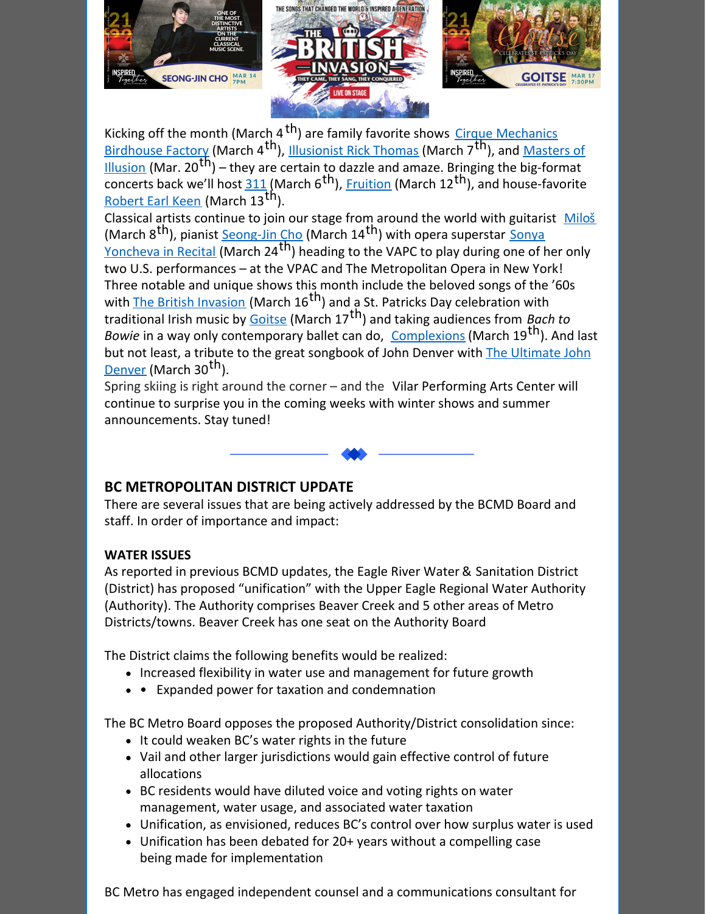

Kicking off the month (March 4<sup>th</sup>) are family favorite shows Cirque Mechanics Birdhouse Factory (March 4<sup>th</sup>), **Illusionist Rick Thomas (March 7<sup>th</sup>)**, and Masters of  $\overline{11!}$  (Mar. 20<sup>th</sup>) – they are certain to dazzle and amaze. Bringing the big-format Concerts back we'll host 311 (March 6<sup>th</sup>), Fruition (March 12<sup>th</sup>), and house-favorite Robert Earl Keen (March 13<sup>th</sup>).

Classical artists continue to join our stage from around the world with guitarist Milos (March 8<sup>th</sup>), pianist **Seong-Jin Cho</u> (March 14<sup>th</sup>) with opera superstar Sonya** Yoncheva in Recital (March 24<sup>th</sup>) heading to the VAPC to play during one of her only two U.S. performances – at the VPAC and The Metropolitan Opera in New York! Three notable and unique shows this month include the beloved songs of the '60s with **The British Invasion** (March 16<sup>th</sup>) and a St. Patricks Day celebration with traditional Irish music by Goitse (March 17 th) and taking audiences from *Bach to Bowie* in a way only contemporary ballet can do, Complexions (March 19<sup>th</sup>). And last but not least, a tribute to the great [songbook](https://vilarpac.org/event/the-ultimate-john-denver/) of John Denver with The Ultimate John Denver (March 30<sup>th</sup>).

Spring skiing is right around the corner – and the Vilar Performing Arts Center will continue to surprise you in the coming weeks with winter shows and summer announcements. Stay tuned!



# **BC METROPOLITAN DISTRICT UPDATE**

There are several issues that are being actively addressed by the BCMD Board and staff. In order of importance and impact:

## **WATER ISSUES**

As reported in previous BCMD updates, the Eagle River Water & Sanitation District (District) has proposed "unification" with the Upper Eagle Regional Water Authority (Authority). The Authority comprises Beaver Creek and 5 other areas of Metro Districts/towns. Beaver Creek has one seat on the Authority Board

The District claims the following benefits would be realized:

- Increased flexibility in water use and management for future growth
- Expanded power for taxation and condemnation

The BC Metro Board opposes the proposed Authority/District consolidation since:

- $\bullet$  It could weaken BC's water rights in the future
- Vail and other larger jurisdictions would gain effective control of future allocations
- BC residents would have diluted voice and voting rights on water management, water usage, and associated water taxation
- Unification, as envisioned, reduces BC's control over how surplus water is used
- Unification has been debated for 20+ years without a compelling case being made for implementation

BC Metro has engaged independent counsel and a communications consultant for